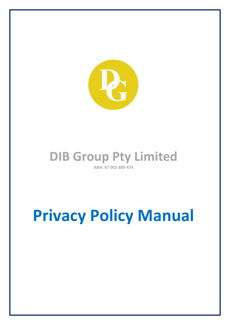

# **DIB Group Pty Limited ABN: 87 002 889 474**

# **Privacy Policy Manual**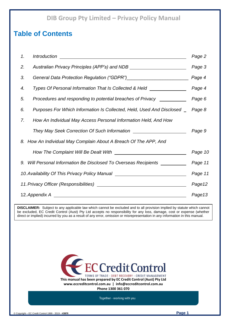# **Table of Contents**

| 1.                                                                               | <i><b>Introduction</b></i><br><u> Andreas Andreas Andreas Andreas Andreas Andreas Andreas Andreas Andreas Andreas Andreas Andreas Andreas Andr</u> | Page 2  |
|----------------------------------------------------------------------------------|----------------------------------------------------------------------------------------------------------------------------------------------------|---------|
| 2.                                                                               | Australian Privacy Principles (APP's) and NDB __________________________________                                                                   | Page 3  |
| 3.                                                                               |                                                                                                                                                    | Page 4  |
| 4.                                                                               | Types Of Personal Information That Is Collected & Held _______________                                                                             | Page 4  |
| 5.                                                                               | Procedures and responding to potential breaches of Privacy ____________                                                                            | Page 6  |
| 6.                                                                               | Purposes For Which Information Is Collected, Held, Used And Disclosed _                                                                            | Page 8  |
| 7.                                                                               | How An Individual May Access Personal Information Held, And How                                                                                    |         |
|                                                                                  | They May Seek Correction Of Such Information ___________________________________                                                                   | Page 9  |
|                                                                                  | 8. How An Individual May Complain About A Breach Of The APP, And                                                                                   |         |
|                                                                                  |                                                                                                                                                    | Page 10 |
|                                                                                  | 9. Will Personal Information Be Disclosed To Overseas Recipients ______________                                                                    | Page 11 |
| 10. Availability Of This Privacy Policy Manual _________________________________ |                                                                                                                                                    | Page 11 |
|                                                                                  |                                                                                                                                                    | Page 12 |
| 12. Appendix A                                                                   |                                                                                                                                                    | Page13  |

**DISCLAIMER:** Subject to any applicable law which cannot be excluded and to all provision implied by statute which cannot be excluded, EC Credit Control (Aust) Pty Ltd accepts no responsibility for any loss, damage, cost or expense (whether direct or implied) incurred by you as a result of any error, omission or misrepresentation in any information in this manual.



**Phone 1300 361 070**

Together - working with you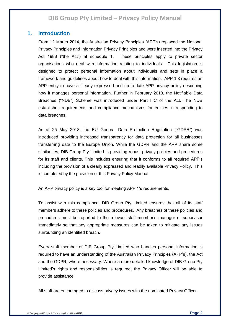# **1. Introduction**

From 12 March 2014, the Australian Privacy Principles (APP's) replaced the National Privacy Principles and Information Privacy Principles and were inserted into the Privacy Act 1988 ("the Act") at schedule 1. These principles apply to private sector organisations who deal with information relating to individuals. This legislation is designed to protect personal information about individuals and sets in place a framework and guidelines about how to deal with this information. APP 1.3 requires an APP entity to have a clearly expressed and up-to-date APP privacy policy describing how it manages personal information. Further in February 2018, the Notifiable Data Breaches ("NDB") Scheme was introduced under Part IIIC of the Act. The NDB establishes requirements and compliance mechanisms for entities in responding to data breaches.

As at 25 May 2018, the EU General Data Protection Regulation ("GDPR") was introduced providing increased transparency for data protection for all businesses transferring data to the Europe Union. While the GDPR and the APP share some similarities, DIB Group Pty Limited is providing robust privacy policies and procedures for its staff and clients. This includes ensuring that it conforms to all required APP's including the provision of a clearly expressed and readily available Privacy Policy. This is completed by the provision of this Privacy Policy Manual.

An APP privacy policy is a key tool for meeting APP 1's requirements.

To assist with this compliance, DIB Group Pty Limited ensures that all of its staff members adhere to these policies and procedures. Any breaches of these policies and procedures must be reported to the relevant staff member's manager or supervisor immediately so that any appropriate measures can be taken to mitigate any issues surrounding an identified breach.

Every staff member of DIB Group Pty Limited who handles personal information is required to have an understanding of the Australian Privacy Principles (APP's), the Act and the GDPR, where necessary. Where a more detailed knowledge of DIB Group Pty Limited's rights and responsibilities is required, the Privacy Officer will be able to provide assistance.

All staff are encouraged to discuss privacy issues with the nominated Privacy Officer.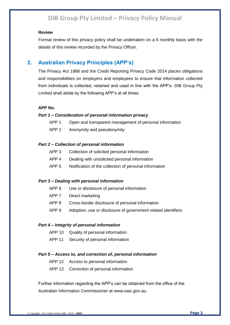### **Review**

Formal review of this privacy policy shall be undertaken on a 6 monthly basis with the details of this review recorded by the Privacy Officer.

# **2. Australian Privacy Principles (APP's)**

The Privacy Act 1988 and the Credit Reporting Privacy Code 2014 places obligations and responsibilities on employers and employees to ensure that information collected from individuals is collected, retained and used in line with the APP's. DIB Group Pty Limited shall abide by the following APP's at all times:

### **APP No.**

### *Part 1 – Consideration of personal information privacy*

- APP 1 Open and transparent management of personal information
- APP 2 Anonymity and pseudonymity

### *Part 2 – Collection of personal information*

- APP 3 Collection of solicited personal information
- APP 4 Dealing with unsolicited personal information
- APP 5 Notification of the collection of personal information

### *Part 3 – Dealing with personal information*

- APP 6 Use or disclosure of personal information
- APP 7 Direct marketing
- APP 8 Cross-border disclosure of personal information
- APP 9 Adoption, use or disclosure of government related identifiers

### *Part 4 – Integrity of personal information*

- APP 10 Quality of personal information
- APP 11 Security of personal information

### *Part 5 – Access to, and correction of, personal information*

- APP 12 Access to personal information
- APP 13 Correction of personal information

Further information regarding the APP's can be obtained from the office of the Australian Information Commissioner at www.oaic.gov.au.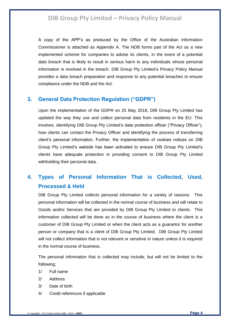A copy of the APP's as produced by the Office of the Australian Information Commissioner is attached as Appendix A. The NDB forms part of the Act as a new implemented scheme for companies to advise its clients, in the event of a potential data breach that is likely to result in serious harm to any individuals whose personal information is involved in the breach. DIB Group Pty Limited's Privacy Policy Manual provides a data breach preparation and response to any potential breaches to ensure compliance under the NDB and the Act.

# **3. General Data Protection Regulation ("GDPR")**

Upon the implementation of the GDPR on 25 May 2018, DIB Group Pty Limited has updated the way they use and collect personal data from residents in the EU. This involves, identifying DIB Group Pty Limited's data protection officer ("Privacy Officer"), how clients can contact the Privacy Officer and identifying the process of transferring client's personal information. Further, the implementation of cookies notices on DIB Group Pty Limited's website has been activated to ensure DIB Group Pty Limited's clients have adequate protection in providing consent to DIB Group Pty Limited withholding their personal data.

# **4. Types of Personal Information That is Collected, Used, Processed & Held**

DIB Group Pty Limited collects personal information for a variety of reasons. This personal information will be collected in the normal course of business and will relate to Goods and/or Services that are provided by DIB Group Pty Limited to clients. This information collected will be done so in the course of business where the client is a customer of DIB Group Pty Limited or when the client acts as a guarantor for another person or company that is a client of DIB Group Pty Limited. DIB Group Pty Limited will not collect information that is not relevant or sensitive in nature unless it is required in the normal course of business.

The personal information that is collected may include, but will not be limited to the following;

- 1/ Full name
- 2/ Address
- 3/ Date of birth
- 4/ Credit references if applicable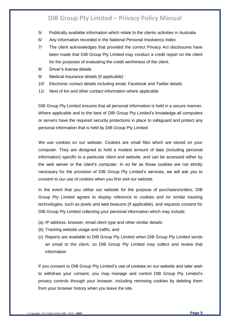- 5/ Publically available information which relate to the clients activities in Australia
- 6/ Any information recorded in the National Personal Insolvency Index
- 7/ The client acknowledges that provided the correct Privacy Act disclosures have been made that DIB Group Pty Limited may conduct a credit report on the client for the purposes of evaluating the credit worthiness of the client.
- 8/ Driver's license details
- 9/ Medical insurance details (if applicable)
- 10/ Electronic contact details including email, Facebook and Twitter details
- 11/ Next of kin and other contact information where applicable

DIB Group Pty Limited ensures that all personal information is held in a secure manner. Where applicable and to the best of DIB Group Pty Limited's knowledge all computers or servers have the required security protections in place to safeguard and protect any personal information that is held by DIB Group Pty Limited.

We use cookies on our website. Cookies are small files which are stored on your computer. They are designed to hold a modest amount of data (including personal information) specific to a particular client and website, and can be accessed either by the web server or the client's computer. In so far as those cookies are not strictly necessary for the provision of DIB Group Pty Limited's services, we will ask you to consent to our use of cookies when you first visit our website.

In the event that you utilise our website for the purpose of purchases/orders, DIB Group Pty Limited agrees to display reference to cookies and /or similar tracking technologies, such as pixels and web beacons (if applicable), and requests consent for DIB Group Pty Limited collecting your personal information which may include:

- (a) IP address, browser, email client type and other similar details;
- (b) Tracking website usage and traffic; and
- (c) Reports are available to DIB Group Pty Limited when DIB Group Pty Limited sends an email to the client, so DIB Group Pty Limited may collect and review that information

If you consent to DIB Group Pty Limited's use of cookies on our website and later wish to withdraw your consent, you may manage and control DIB Group Pty Limited's privacy controls through your browser, including removing cookies by deleting them from your browser history when you leave the site.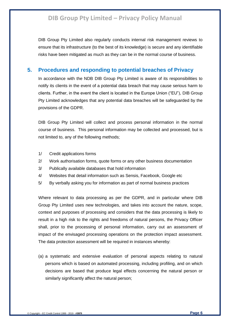DIB Group Pty Limited also regularly conducts internal risk management reviews to ensure that its infrastructure (to the best of its knowledge) is secure and any identifiable risks have been mitigated as much as they can be in the normal course of business.

# **5. Procedures and responding to potential breaches of Privacy**

In accordance with the NDB DIB Group Pty Limited is aware of its responsibilities to notify its clients in the event of a potential data breach that may cause serious harm to clients. Further, in the event the client is located in the Europe Union ("EU"), DIB Group Pty Limited acknowledges that any potential data breaches will be safeguarded by the provisions of the GDPR.

DIB Group Pty Limited will collect and process personal information in the normal course of business. This personal information may be collected and processed, but is not limited to, any of the following methods;

- 1/ Credit applications forms
- 2/ Work authorisation forms, quote forms or any other business documentation
- 3/ Publically available databases that hold information
- 4/ Websites that detail information such as Sensis, Facebook, Google etc
- 5/ By verbally asking you for information as part of normal business practices

Where relevant to data processing as per the GDPR, and in particular where DIB Group Pty Limited uses new technologies, and takes into account the nature, scope, context and purposes of processing and considers that the data processing is likely to result in a high risk to the rights and freedoms of natural persons, the Privacy Officer shall, prior to the processing of personal information, carry out an assessment of impact of the envisaged processing operations on the protection impact assessment. The data protection assessment will be required in instances whereby:

(a) a systematic and extensive evaluation of personal aspects relating to natural persons which is based on automated processing, including profiling, and on which decisions are based that produce legal effects concerning the natural person or similarly significantly affect the natural person;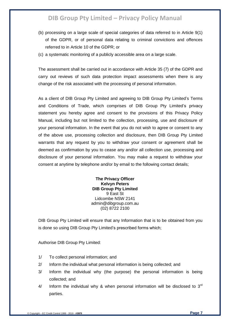- (b) processing on a large scale of special categories of data referred to in [Article 9\(](https://gdpr-info.eu/art-9-gdpr/)1) of the GDPR, or of personal data relating to criminal convictions and offences referred to in [Article 10](https://gdpr-info.eu/art-10-gdpr/) of the GDPR; or
- (c) a systematic monitoring of a publicly accessible area on a large scale.

The assessment shall be carried out in accordance with Article 35 (7) of the GDPR and carry out reviews of such data protection impact assessments when there is any change of the risk associated with the processing of personal information.

As a client of DIB Group Pty Limited and agreeing to DIB Group Pty Limited's Terms and Conditions of Trade, which comprises of DIB Group Pty Limited's privacy statement you hereby agree and consent to the provisions of this Privacy Policy Manual, including but not limited to the collection, processing, use and disclosure of your personal information. In the event that you do not wish to agree or consent to any of the above use, processing collection and disclosure, then DIB Group Pty Limited warrants that any request by you to withdraw your consent or agreement shall be deemed as confirmation by you to cease any and/or all collection use, processing and disclosure of your personal information. You may make a request to withdraw your consent at anytime by telephone and/or by email to the following contact details;

> **The Privacy Officer Kelvyn Peters DIB Group Pty Limited** 9 East St Lidcombe NSW 2141 admin@dibgroup.com.au (02) 8722 2100

DIB Group Pty Limited will ensure that any Information that is to be obtained from you is done so using DIB Group Pty Limited's prescribed forms which;

Authorise DIB Group Pty Limited:

- 1/ To collect personal information; and
- 2/ Inform the individual what personal information is being collected; and
- 3/ Inform the individual why (the purpose) the personal information is being collected; and
- 4/ Inform the individual why & when personal information will be disclosed to  $3<sup>rd</sup>$ parties.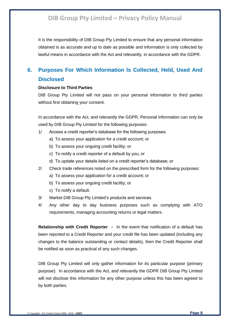It is the responsibility of DIB Group Pty Limited to ensure that any personal information obtained is as accurate and up to date as possible and information is only collected by lawful means in accordance with the Act and relevantly, in accordance with the GDPR.

# **6. Purposes For Which Information Is Collected, Held, Used And Disclosed**

### **Disclosure to Third Parties**

DIB Group Pty Limited will not pass on your personal information to third parties without first obtaining your consent.

In accordance with the Act, and relevantly the GDPR, Personal Information can only be used by DIB Group Pty Limited for the following purposes:

- 1/ Access a credit reporter's database for the following purposes:
	- a) To assess your application for a credit account; or
	- b) To assess your ongoing credit facility; or
	- c) To notify a credit reporter of a default by you; or
	- d) To update your details listed on a credit reporter's database; or
- 2/ Check trade references noted on the prescribed form for the following purposes:
	- a) To assess your application for a credit account; or
	- b) To assess your ongoing credit facility; or
	- c) To notify a default.
- 3/ Market DIB Group Pty Limited's products and services.
- 4/ Any other day to day business purposes such as complying with ATO requirements, managing accounting returns or legal matters.

**Relationship with Credit Reporter -** In the event that notification of a default has been reported to a Credit Reporter and your credit file has been updated (including any changes to the balance outstanding or contact details), then the Credit Reporter shall be notified as soon as practical of any such changes.

DIB Group Pty Limited will only gather information for its particular purpose (primary purpose). In accordance with the Act, and relevantly the GDPR DIB Group Pty Limited will not disclose this information for any other purpose unless this has been agreed to by both parties.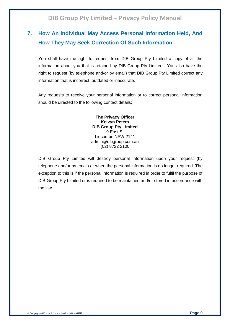# **7. How An Individual May Access Personal Information Held, And How They May Seek Correction Of Such Information**

You shall have the right to request from DIB Group Pty Limited a copy of all the information about you that is retained by DIB Group Pty Limited. You also have the right to request (by telephone and/or by email) that DIB Group Pty Limited correct any information that is incorrect, outdated or inaccurate.

Any requests to receive your personal information or to correct personal information should be directed to the following contact details;

> **The Privacy Officer Kelvyn Peters DIB Group Pty Limited** 9 East St Lidcombe NSW 2141 admin@dibgroup.com.au (02) 8722 2100

DIB Group Pty Limited will destroy personal information upon your request (by telephone and/or by email) or when the personal information is no longer required. The exception to this is if the personal information is required in order to fulfil the purpose of DIB Group Pty Limited or is required to be maintained and/or stored in accordance with the law.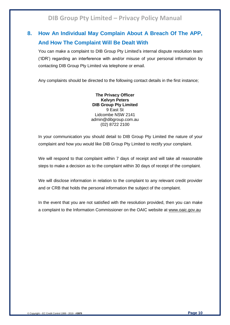# **8. How An Individual May Complain About A Breach Of The APP, And How The Complaint Will Be Dealt With**

You can make a complaint to DIB Group Pty Limited's internal dispute resolution team ('IDR') regarding an interference with and/or misuse of your personal information by contacting DIB Group Pty Limited via telephone or email.

Any complaints should be directed to the following contact details in the first instance;

**The Privacy Officer Kelvyn Peters DIB Group Pty Limited** 9 East St Lidcombe NSW 2141 admin@dibgroup.com.au (02) 8722 2100

In your communication you should detail to DIB Group Pty Limited the nature of your complaint and how you would like DIB Group Pty Limited to rectify your complaint.

We will respond to that complaint within 7 days of receipt and will take all reasonable steps to make a decision as to the complaint within 30 days of receipt of the complaint.

We will disclose information in relation to the complaint to any relevant credit provider and or CRB that holds the personal information the subject of the complaint.

In the event that you are not satisfied with the resolution provided, then you can make a complaint to the Information Commissioner on the OAIC website at [www.oaic.gov.au](http://www.oaic.gov.au/)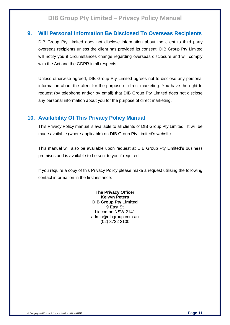# **9. Will Personal Information Be Disclosed To Overseas Recipients**

DIB Group Pty Limited does not disclose information about the client to third party overseas recipients unless the client has provided its consent. DIB Group Pty Limited will notify you if circumstances change regarding overseas disclosure and will comply with the Act and the GDPR in all respects.

Unless otherwise agreed, DIB Group Pty Limited agrees not to disclose any personal information about the client for the purpose of direct marketing. You have the right to request (by telephone and/or by email) that DIB Group Pty Limited does not disclose any personal information about you for the purpose of direct marketing.

# **10. Availability Of This Privacy Policy Manual**

This Privacy Policy manual is available to all clients of DIB Group Pty Limited. It will be made available (where applicable) on DIB Group Pty Limited's website.

This manual will also be available upon request at DIB Group Pty Limited's business premises and is available to be sent to you if required.

If you require a copy of this Privacy Policy please make a request utilising the following contact information in the first instance:

> **The Privacy Officer Kelvyn Peters DIB Group Pty Limited** 9 East St Lidcombe NSW 2141 admin@dibgroup.com.au (02) 8722 2100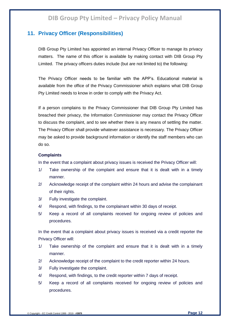# **11. Privacy Officer (Responsibilities)**

DIB Group Pty Limited has appointed an internal Privacy Officer to manage its privacy matters. The name of this officer is available by making contact with DIB Group Pty Limited. The privacy officers duties include (but are not limited to) the following:

The Privacy Officer needs to be familiar with the APP's. Educational material is available from the office of the Privacy Commissioner which explains what DIB Group Pty Limited needs to know in order to comply with the Privacy Act.

If a person complains to the Privacy Commissioner that DIB Group Pty Limited has breached their privacy, the Information Commissioner may contact the Privacy Officer to discuss the complaint, and to see whether there is any means of settling the matter. The Privacy Officer shall provide whatever assistance is necessary. The Privacy Officer may be asked to provide background information or identify the staff members who can do so.

### **Complaints**

In the event that a complaint about privacy issues is received the Privacy Officer will:

- 1/ Take ownership of the complaint and ensure that it is dealt with in a timely manner.
- 2/ Acknowledge receipt of the complaint within 24 hours and advise the complainant of their rights.
- 3/ Fully investigate the complaint.
- 4/ Respond, with findings, to the complainant within 30 days of receipt.
- 5/ Keep a record of all complaints received for ongoing review of policies and procedures.

In the event that a complaint about privacy issues is received via a credit reporter the Privacy Officer will:

- 1/ Take ownership of the complaint and ensure that it is dealt with in a timely manner.
- 2/ Acknowledge receipt of the complaint to the credit reporter within 24 hours.
- 3/ Fully investigate the complaint.
- 4/ Respond, with findings, to the credit reporter within 7 days of receipt.
- 5/ Keep a record of all complaints received for ongoing review of policies and procedures.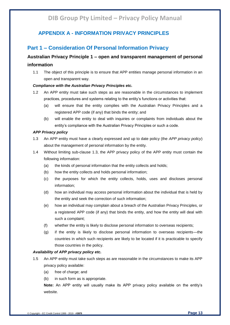# **APPENDIX A - INFORMATION PRIVACY PRINCIPLES**

# **Part 1 – Consideration Of Personal Information Privacy**

# **Australian Privacy Principle 1 – open and transparent management of personal information**

1.1 The object of this principle is to ensure that APP entities manage personal information in an open and transparent way.

### *Compliance with the Australian Privacy Principles etc.*

- 1.2 An APP entity must take such steps as are reasonable in the circumstances to implement practices, procedures and systems relating to the entity's functions or activities that:
	- (a) will ensure that the entity complies with the Australian Privacy Principles and a registered APP code (if any) that binds the entity; and
	- (b) will enable the entity to deal with inquiries or complaints from individuals about the entity's compliance with the Australian Privacy Principles or such a code.

### *APP Privacy policy*

- 1.3 An APP entity must have a clearly expressed and up to date policy (the *APP privacy policy*) about the management of personal information by the entity.
- 1.4 Without limiting sub-clause 1.3, the APP privacy policy of the APP entity must contain the following information:
	- (a) the kinds of personal information that the entity collects and holds;
	- (b) how the entity collects and holds personal information;
	- (c) the purposes for which the entity collects, holds, uses and discloses personal information;
	- (d) how an individual may access personal information about the individual that is held by the entity and seek the correction of such information;
	- (e) how an individual may complain about a breach of the Australian Privacy Principles, or a registered APP code (if any) that binds the entity, and how the entity will deal with such a complaint;
	- (f) whether the entity is likely to disclose personal information to overseas recipients;
	- (g) if the entity is likely to disclose personal information to overseas recipients—the countries in which such recipients are likely to be located if it is practicable to specify those countries in the policy.

### *Availability of APP privacy policy etc.*

- 1.5 An APP entity must take such steps as are reasonable in the circumstances to make its APP privacy policy available:
	- (a) free of charge; and
	- (b) in such form as is appropriate.

**Note:** An APP entity will usually make its APP privacy policy available on the entity's website.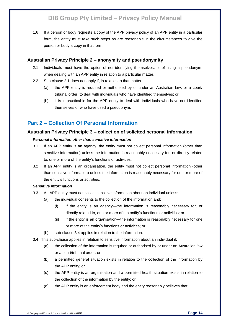1.6 If a person or body requests a copy of the APP privacy policy of an APP entity in a particular form, the entity must take such steps as are reasonable in the circumstances to give the person or body a copy in that form.

### **Australian Privacy Principle 2 – anonymity and pseudonymity**

- 2.1 Individuals must have the option of not identifying themselves, or of using a pseudonym, when dealing with an APP entity in relation to a particular matter.
- 2.2 Sub-clause 2.1 does not apply if, in relation to that matter:
	- (a) the APP entity is required or authorised by or under an Australian law, or a court/ tribunal order, to deal with individuals who have identified themselves; or
	- (b) it is impracticable for the APP entity to deal with individuals who have not identified themselves or who have used a pseudonym.

# **Part 2 – Collection Of Personal Information**

### **Australian Privacy Principle 3 – collection of solicited personal information**

### *Personal information other than sensitive information*

- 3.1 If an APP entity is an agency, the entity must not collect personal information (other than sensitive information) unless the information is reasonably necessary for, or directly related to, one or more of the entity's functions or activities.
- 3.2 If an APP entity is an organisation, the entity must not collect personal information (other than sensitive information) unless the information is reasonably necessary for one or more of the entity's functions or activities.

### *Sensitive information*

- 3.3 An APP entity must not collect sensitive information about an individual unless:
	- (a) the individual consents to the collection of the information and:
		- (i) if the entity is an agency—the information is reasonably necessary for, or directly related to, one or more of the entity's functions or activities; or
		- (ii) if the entity is an organisation—the information is reasonably necessary for one or more of the entity's functions or activities; or
	- (b) sub-clause 3.4 applies in relation to the information.
- 3.4 This sub-clause applies in relation to sensitive information about an individual if:
	- (a) the collection of the information is required or authorised by or under an Australian law or a court/tribunal order; or
	- (b) a permitted general situation exists in relation to the collection of the information by the APP entity; or
	- (c) the APP entity is an organisation and a permitted health situation exists in relation to the collection of the information by the entity; or
	- (d) the APP entity is an enforcement body and the entity reasonably believes that: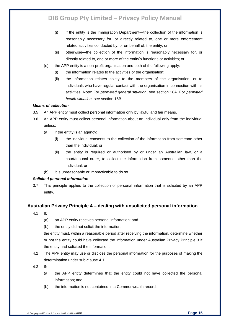- (i) if the entity is the Immigration Department—the collection of the information is reasonably necessary for, or directly related to, one or more enforcement related activities conducted by, or on behalf of, the entity; or
- (ii) otherwise—the collection of the information is reasonably necessary for, or directly related to, one or more of the entity's functions or activities; or
- (e) the APP entity is a non-profit organisation and both of the following apply:
	- (i) the information relates to the activities of the organisation;
	- (ii) the information relates solely to the members of the organisation, or to individuals who have regular contact with the organisation in connection with its activities. Note: For *permitted general situation*, see section 16A. For *permitted health situation*, see section 16B.

### *Means of collection*

- 3.5 An APP entity must collect personal information only by lawful and fair means.
- 3.6 An APP entity must collect personal information about an individual only from the individual unless:
	- (a) if the entity is an agency:
		- (i) the individual consents to the collection of the information from someone other than the individual; or
		- (ii) the entity is required or authorised by or under an Australian law, or a court/tribunal order, to collect the information from someone other than the individual; or
	- (b) it is unreasonable or impracticable to do so.

### *Solicited personal information*

3.7 This principle applies to the collection of personal information that is solicited by an APP entity.

# **Australian Privacy Principle 4 – dealing with unsolicited personal information**

- 4.1 If:
	- (a) an APP entity receives personal information; and
	- (b) the entity did not solicit the information;

the entity must, within a reasonable period after receiving the information, determine whether or not the entity could have collected the information under Australian Privacy Principle 3 if the entity had solicited the information.

- 4.2 The APP entity may use or disclose the personal information for the purposes of making the determination under sub-clause 4.1.
- 4.3 If:
	- (a) the APP entity determines that the entity could not have collected the personal information; and
	- (b) the information is not contained in a Commonwealth record;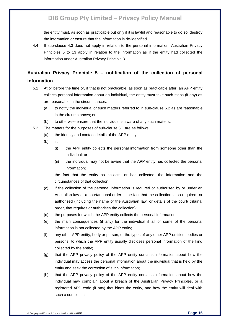the entity must, as soon as practicable but only if it is lawful and reasonable to do so, destroy the information or ensure that the information is de-identified.

4.4 If sub-clause 4.3 does not apply in relation to the personal information, Australian Privacy Principles 5 to 13 apply in relation to the information as if the entity had collected the information under Australian Privacy Principle 3.

# **Australian Privacy Principle 5 – notification of the collection of personal information**

- 5.1 At or before the time or, if that is not practicable, as soon as practicable after, an APP entity collects personal information about an individual, the entity must take such steps (if any) as are reasonable in the circumstances:
	- (a) to notify the individual of such matters referred to in sub-clause 5.2 as are reasonable in the circumstances; or
	- (b) to otherwise ensure that the individual is aware of any such matters.
- 5.2 The matters for the purposes of sub-clause 5.1 are as follows:
	- (a) the identity and contact details of the APP entity;
	- (b) if:
		- (i) the APP entity collects the personal information from someone other than the individual; or
		- (ii) the individual may not be aware that the APP entity has collected the personal information;

the fact that the entity so collects, or has collected, the information and the circumstances of that collection;

- (c) if the collection of the personal information is required or authorised by or under an Australian law or a court/tribunal order— the fact that the collection is so required or authorised (including the name of the Australian law, or details of the court/ tribunal order, that requires or authorises the collection);
- (d) the purposes for which the APP entity collects the personal information;
- (e) the main consequences (if any) for the individual if all or some of the personal information is not collected by the APP entity;
- (f) any other APP entity, body or person, or the types of any other APP entities, bodies or persons, to which the APP entity usually discloses personal information of the kind collected by the entity;
- (g) that the APP privacy policy of the APP entity contains information about how the individual may access the personal information about the individual that is held by the entity and seek the correction of such information;
- (h) that the APP privacy policy of the APP entity contains information about how the individual may complain about a breach of the Australian Privacy Principles, or a registered APP code (if any) that binds the entity, and how the entity will deal with such a complaint;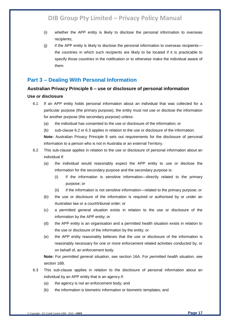- (i) whether the APP entity is likely to disclose the personal information to overseas recipients;
- $(i)$  if the APP entity is likely to disclose the personal information to overseas recipients the countries in which such recipients are likely to be located if it is practicable to specify those countries in the notification or to otherwise make the individual aware of them.

# **Part 3 – Dealing With Personal Information**

# **Australian Privacy Principle 6 – use or disclosure of personal information**

### **Use or disclosure**

- 6.1 If an APP entity holds personal information about an individual that was collected for a particular purpose (the primary purpose), the entity must not use or disclose the information for another purpose (the secondary purpose) unless:
	- (a) the individual has consented to the use or disclosure of the information; or
	- (b) sub-clause 6.2 or 6.3 applies in relation to the use or disclosure of the information.

**Note:** Australian Privacy Principle 8 sets out requirements for the disclosure of personal information to a person who is not in Australia or an external Territory.

- 6.2 This sub-clause applies in relation to the use or disclosure of personal information about an individual if:
	- (a) the individual would reasonably expect the APP entity to use or disclose the information for the secondary purpose and the secondary purpose is:
		- (i) if the information is sensitive information—directly related to the primary purpose; or
		- (ii) if the information is not sensitive information—related to the primary purpose; or
	- (b) the use or disclosure of the information is required or authorised by or under an Australian law or a court/tribunal order; or
	- (c) a permitted general situation exists in relation to the use or disclosure of the information by the APP entity; or
	- (d) the APP entity is an organisation and a permitted health situation exists in relation to the use or disclosure of the information by the entity; or
	- (e) the APP entity reasonably believes that the use or disclosure of the information is reasonably necessary for one or more enforcement related activities conducted by, or on behalf of, an enforcement body.

**Note:** For *permitted general situation*, see section 16A. For *permitted health situation*, see section 16B.

- 6.3 This sub-clause applies in relation to the disclosure of personal information about an individual by an APP entity that is an agency if:
	- (a) the agency is not an enforcement body; and
	- (b) the information is biometric information or biometric templates; and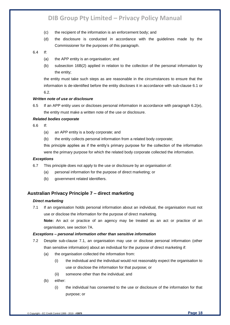- (c) the recipient of the information is an enforcement body; and
- (d) the disclosure is conducted in accordance with the guidelines made by the Commissioner for the purposes of this paragraph.

### 6.4 If:

- (a) the APP entity is an organisation; and
- (b) subsection 16B(2) applied in relation to the collection of the personal information by the entity;

the entity must take such steps as are reasonable in the circumstances to ensure that the information is de-identified before the entity discloses it in accordance with sub-clause 6.1 or 6.2.

### *Written note of use or disclosure*

6.5 If an APP entity uses or discloses personal information in accordance with paragraph 6.2(e), the entity must make a written note of the use or disclosure.

### *Related bodies corporate*

6.6 If:

- (a) an APP entity is a body corporate; and
- (b) the entity collects personal information from a related body corporate;

this principle applies as if the entity's primary purpose for the collection of the information were the primary purpose for which the related body corporate collected the information.

#### *Exceptions*

- 6.7 This principle does not apply to the use or disclosure by an organisation of:
	- (a) personal information for the purpose of direct marketing; or
	- (b) government related identifiers.

### **Australian Privacy Principle 7 – direct marketing**

### *Direct marketing*

7.1 If an organisation holds personal information about an individual, the organisation must not use or disclose the information for the purpose of direct marketing.

**Note:** An act or practice of an agency may be treated as an act or practice of an organisation, see section 7A.

### *Exceptions – personal information other than sensitive information*

- 7.2 Despite sub-clause 7.1, an organisation may use or disclose personal information (other than sensitive information) about an individual for the purpose of direct marketing if:
	- (a) the organisation collected the information from:
		- (i) the individual and the individual would not reasonably expect the organisation to use or disclose the information for that purpose; or
		- (ii) someone other than the individual; and
	- (b) either:
		- (i) the individual has consented to the use or disclosure of the information for that purpose; or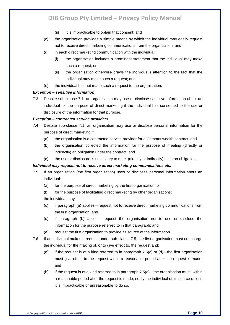- (ii) it is impracticable to obtain that consent; and
- (c) the organisation provides a simple means by which the individual may easily request not to receive direct marketing communications from the organisation; and
- (d) in each direct marketing communication with the individual:
	- (i) the organisation includes a prominent statement that the individual may make such a request; or
	- (ii) the organisation otherwise draws the individual's attention to the fact that the individual may make such a request; and
- (e) the individual has not made such a request to the organisation.

### *Exception – sensitive information*

7.3 Despite sub-clause 7.1, an organisation may use or disclose sensitive information about an individual for the purpose of direct marketing if the individual has consented to the use or disclosure of the information for that purpose.

### *Exception – contracted service providers*

- 7.4 Despite sub-clause 7.1, an organisation may use or disclose personal information for the purpose of direct marketing if:
	- (a) the organisation is a contracted service provider for a Commonwealth contract; and
	- (b) the organisation collected the information for the purpose of meeting (directly or indirectly) an obligation under the contract; and
	- (c) the use or disclosure is necessary to meet (directly or indirectly) such an obligation.

#### *Individual may request not to receive direct marketing communications etc.*

- 7.5 If an organisation (the first organisation) uses or discloses personal information about an individual:
	- (a) for the purpose of direct marketing by the first organisation; or
	- (b) for the purpose of facilitating direct marketing by other organisations;
	- the individual may:
	- (c) if paragraph (a) applies—request not to receive direct marketing communications from the first organisation; and
	- (d) if paragraph (b) applies—request the organisation not to use or disclose the information for the purpose referred to in that paragraph; and
	- (e) request the first organisation to provide its source of the information.
- 7.6 If an individual makes a request under sub-clause 7.5, the first organisation must not charge the individual for the making of, or to give effect to, the request and:
	- (a) if the request is of a kind referred to in paragraph  $7.5(c)$  or (d)—the first organisation must give effect to the request within a reasonable period after the request is made; and
	- (b) if the request is of a kind referred to in paragraph 7.5(e)—the organisation must, within a reasonable period after the request is made, notify the individual of its source unless it is impracticable or unreasonable to do so.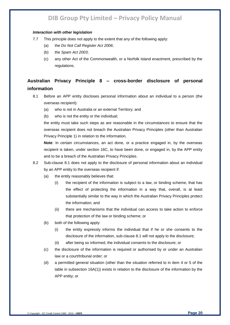### *Interaction with other legislation*

- 7.7 This principle does not apply to the extent that any of the following apply:
	- (a) the *Do Not Call Register Act 2006*;
	- (b) the *Spam Act 2003*;
	- (c) any other Act of the Commonwealth, or a Norfolk Island enactment, prescribed by the regulations.

# **Australian Privacy Principle 8 – cross-border disclosure of personal information**

- 8.1 Before an APP entity discloses personal information about an individual to a person (the overseas recipient):
	- (a) who is not in Australia or an external Territory; and
	- (b) who is not the entity or the individual;

the entity must take such steps as are reasonable in the circumstances to ensure that the overseas recipient does not breach the Australian Privacy Principles (other than Australian Privacy Principle 1) in relation to the information.

**Note**: In certain circumstances, an act done, or a practice engaged in, by the overseas recipient is taken, under section 16C, to have been done, or engaged in, by the APP entity and to be a breach of the Australian Privacy Principles.

- 8.2 Sub-clause 8.1 does not apply to the disclosure of personal information about an individual by an APP entity to the overseas recipient if:
	- (a) the entity reasonably believes that:
		- (i) the recipient of the information is subject to a law, or binding scheme, that has the effect of protecting the information in a way that, overall, is at least substantially similar to the way in which the Australian Privacy Principles protect the information; and
		- (ii) there are mechanisms that the individual can access to take action to enforce that protection of the law or binding scheme; or
	- (b) both of the following apply:
		- (i) the entity expressly informs the individual that if he or she consents to the disclosure of the information, sub-clause 8.1 will not apply to the disclosure;
		- (ii) after being so informed, the individual consents to the disclosure; or
	- (c) the disclosure of the information is required or authorised by or under an Australian law or a court/tribunal order; or
	- (d) a permitted general situation (other than the situation referred to in item 4 or 5 of the table in subsection 16A(1)) exists in relation to the disclosure of the information by the APP entity; or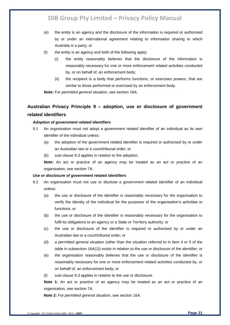- (e) the entity is an agency and the disclosure of the information is required or authorised by or under an international agreement relating to information sharing to which Australia is a party; or
- (f) the entity is an agency and both of the following apply:
	- (i) the entity reasonably believes that the disclosure of the information is reasonably necessary for one or more enforcement related activities conducted by, or on behalf of, an enforcement body;
	- (ii) the recipient is a body that performs functions, or exercises powers, that are similar to those performed or exercised by an enforcement body.

**Note:** For *permitted general situation*, see section 16A.

# **Australian Privacy Principle 9 – adoption, use or disclosure of government related identifiers**

#### *Adoption of government related identifiers*

- 9.1 An organisation must not adopt a government related identifier of an individual as its own identifier of the individual unless:
	- (a) the adoption of the government related identifier is required or authorised by or under an Australian law or a court/tribunal order; or
	- (b) sub-clause 9.3 applies in relation to the adoption.

**Note:** An act or practice of an agency may be treated as an act or practice of an organisation, see section 7A.

#### *Use or disclosure of government related identifiers*

- 9.2 An organisation must not use or disclose a government related identifier of an individual unless:
	- (a) the use or disclosure of the identifier is reasonably necessary for the organisation to verify the identity of the individual for the purposes of the organisation's activities or functions; or
	- (b) the use or disclosure of the identifier is reasonably necessary for the organisation to fulfil its obligations to an agency or a State or Territory authority; or
	- (c) the use or disclosure of the identifier is required or authorised by or under an Australian law or a court/tribunal order; or
	- (d) a permitted general situation (other than the situation referred to in item 4 or 5 of the table in subsection 16A(1)) exists in relation to the use or disclosure of the identifier; or
	- (e) the organisation reasonably believes that the use or disclosure of the identifier is reasonably necessary for one or more enforcement related activities conducted by, or on behalf of, an enforcement body; or
	- (f) sub-clause 9.3 applies in relation to the use or disclosure.

**Note 1:** An act or practice of an agency may be treated as an act or practice of an organisation, see section 7A.

**Note 2:** For *permitted general situation*, see section 16A.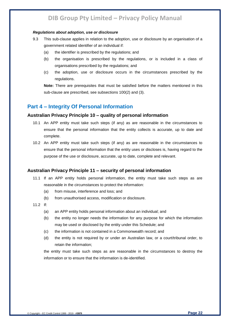### *Regulations about adoption, use or disclosure*

- 9.3 This sub-clause applies in relation to the adoption, use or disclosure by an organisation of a government related identifier of an individual if:
	- (a) the identifier is prescribed by the regulations; and
	- (b) the organisation is prescribed by the regulations, or is included in a class of organisations prescribed by the regulations; and
	- (c) the adoption, use or disclosure occurs in the circumstances prescribed by the regulations.

**Note:** There are prerequisites that must be satisfied before the matters mentioned in this sub-clause are prescribed, see subsections 100(2) and (3).

# **Part 4 – Integrity Of Personal Information**

### **Australian Privacy Principle 10 – quality of personal information**

- 10.1 An APP entity must take such steps (if any) as are reasonable in the circumstances to ensure that the personal information that the entity collects is accurate, up to date and complete.
- 10.2 An APP entity must take such steps (if any) as are reasonable in the circumstances to ensure that the personal information that the entity uses or discloses is, having regard to the purpose of the use or disclosure, accurate, up to date, complete and relevant.

### **Australian Privacy Principle 11 – security of personal information**

- 11.1 If an APP entity holds personal information, the entity must take such steps as are reasonable in the circumstances to protect the information:
	- (a) from misuse, interference and loss; and
	- (b) from unauthorised access, modification or disclosure.
- 11.2 If:
	- (a) an APP entity holds personal information about an individual; and
	- (b) the entity no longer needs the information for any purpose for which the information may be used or disclosed by the entity under this Schedule; and
	- (c) the information is not contained in a Commonwealth record; and
	- (d) the entity is not required by or under an Australian law, or a court/tribunal order, to retain the information;

the entity must take such steps as are reasonable in the circumstances to destroy the information or to ensure that the information is de-identified.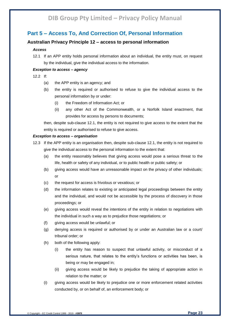# **Part 5 – Access To, And Correction Of, Personal Information**

### **Australian Privacy Principle 12 – access to personal information**

#### *Access*

12.1 If an APP entity holds personal information about an individual, the entity must, on request by the individual, give the individual access to the information.

#### *Exception to access – agency*

- 12.2 If:
	- (a) the APP entity is an agency; and
	- (b) the entity is required or authorised to refuse to give the individual access to the personal information by or under:
		- (i) the Freedom of Information Act; or
		- (ii) any other Act of the Commonwealth, or a Norfolk Island enactment, that provides for access by persons to documents;

then, despite sub-clause 12.1, the entity is not required to give access to the extent that the entity is required or authorised to refuse to give access.

#### *Exception to access – organisation*

- 12.3 If the APP entity is an organisation then, despite sub-clause 12.1, the entity is not required to give the individual access to the personal information to the extent that:
	- (a) the entity reasonably believes that giving access would pose a serious threat to the life, health or safety of any individual, or to public health or public safety; or
	- (b) giving access would have an unreasonable impact on the privacy of other individuals; or
	- (c) the request for access is frivolous or vexatious; or
	- (d) the information relates to existing or anticipated legal proceedings between the entity and the individual, and would not be accessible by the process of discovery in those proceedings; or
	- (e) giving access would reveal the intentions of the entity in relation to negotiations with the individual in such a way as to prejudice those negotiations; or
	- (f) giving access would be unlawful; or
	- (g) denying access is required or authorised by or under an Australian law or a court/ tribunal order; or
	- (h) both of the following apply:
		- (i) the entity has reason to suspect that unlawful activity, or misconduct of a serious nature, that relates to the entity's functions or activities has been, is being or may be engaged in;
		- (ii) giving access would be likely to prejudice the taking of appropriate action in relation to the matter; or
	- (i) giving access would be likely to prejudice one or more enforcement related activities conducted by, or on behalf of, an enforcement body; or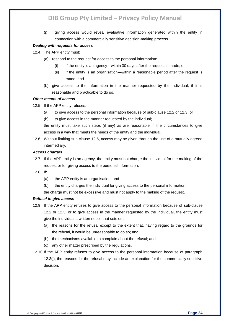(j) giving access would reveal evaluative information generated within the entity in connection with a commercially sensitive decision-making process.

#### *Dealing with requests for access*

- 12.4 The APP entity must:
	- (a) respond to the request for access to the personal information:
		- (i) if the entity is an agency—within 30 days after the request is made; or
		- (ii) if the entity is an organisation—within a reasonable period after the request is made; and
	- (b) give access to the information in the manner requested by the individual, if it is reasonable and practicable to do so.

### *Other means of access*

- 12.5 If the APP entity refuses:
	- (a) to give access to the personal information because of sub-clause 12.2 or 12.3; or
	- (b) to give access in the manner requested by the individual;

the entity must take such steps (if any) as are reasonable in the circumstances to give access in a way that meets the needs of the entity and the individual.

12.6 Without limiting sub-clause 12.5, access may be given through the use of a mutually agreed intermediary.

### *Access charges*

- 12.7 If the APP entity is an agency, the entity must not charge the individual for the making of the request or for giving access to the personal information.
- 12.8 If:
	- (a) the APP entity is an organisation; and
	- (b) the entity charges the individual for giving access to the personal information;

the charge must not be excessive and must not apply to the making of the request.

### *Refusal to give access*

- 12.9 If the APP entity refuses to give access to the personal information because of sub-clause 12.2 or 12.3, or to give access in the manner requested by the individual, the entity must give the individual a written notice that sets out:
	- (a) the reasons for the refusal except to the extent that, having regard to the grounds for the refusal, it would be unreasonable to do so; and
	- (b) the mechanisms available to complain about the refusal; and
	- (c) any other matter prescribed by the regulations.
- 12.10 If the APP entity refuses to give access to the personal information because of paragraph 12.3(j), the reasons for the refusal may include an explanation for the commercially sensitive decision.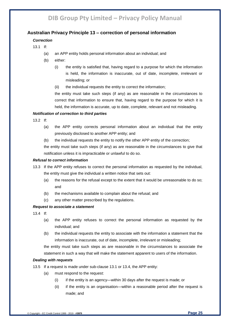# **Australian Privacy Principle 13 – correction of personal information**

### *Correction*

- 13.1 If:
	- (a) an APP entity holds personal information about an individual; and
	- (b) either:
		- (i) the entity is satisfied that, having regard to a purpose for which the information is held, the information is inaccurate, out of date, incomplete, irrelevant or misleading; or
		- (ii) the individual requests the entity to correct the information;

the entity must take such steps (if any) as are reasonable in the circumstances to correct that information to ensure that, having regard to the purpose for which it is held, the information is accurate, up to date, complete, relevant and not misleading.

### *Notification of correction to third parties*

- 13.2 If:
	- (a) the APP entity corrects personal information about an individual that the entity previously disclosed to another APP entity; and
	- (b) the individual requests the entity to notify the other APP entity of the correction;

the entity must take such steps (if any) as are reasonable in the circumstances to give that notification unless it is impracticable or unlawful to do so.

#### *Refusal to correct information*

- 13.3 If the APP entity refuses to correct the personal information as requested by the individual, the entity must give the individual a written notice that sets out:
	- (a) the reasons for the refusal except to the extent that it would be unreasonable to do so; and
	- (b) the mechanisms available to complain about the refusal; and
	- (c) any other matter prescribed by the regulations.

#### *Request to associate a statement*

13.4 If:

- (a) the APP entity refuses to correct the personal information as requested by the individual; and
- (b) the individual requests the entity to associate with the information a statement that the information is inaccurate, out of date, incomplete, irrelevant or misleading;

the entity must take such steps as are reasonable in the circumstances to associate the statement in such a way that will make the statement apparent to users of the information.

### *Dealing with requests*

13.5 If a request is made under sub-clause 13.1 or 13.4, the APP entity:

- (a) must respond to the request:
	- (i) if the entity is an agency—within 30 days after the request is made; or
	- (ii) if the entity is an organisation—within a reasonable period after the request is made; and